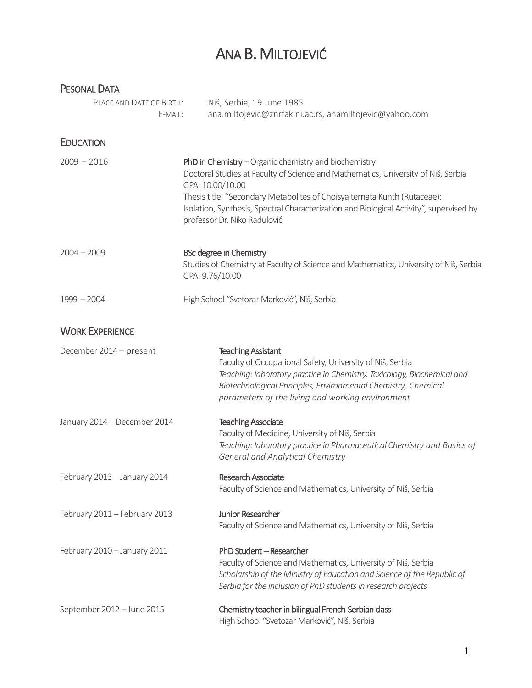# ANA B. MILTOJEVIĆ

| <b>PESONAL DATA</b><br>PLACE AND DATE OF BIRTH: | Niš, Serbia, 19 June 1985                                                                                                                                                                                                                                                                                                                                                |  |
|-------------------------------------------------|--------------------------------------------------------------------------------------------------------------------------------------------------------------------------------------------------------------------------------------------------------------------------------------------------------------------------------------------------------------------------|--|
| E-MAIL:                                         | ana.miltojevic@znrfak.ni.ac.rs, anamiltojevic@yahoo.com                                                                                                                                                                                                                                                                                                                  |  |
| <b>EDUCATION</b>                                |                                                                                                                                                                                                                                                                                                                                                                          |  |
| $2009 - 2016$                                   | PhD in Chemistry $-$ Organic chemistry and biochemistry<br>Doctoral Studies at Faculty of Science and Mathematics, University of Niš, Serbia<br>GPA: 10.00/10.00<br>Thesis title: "Secondary Metabolites of Choisya ternata Kunth (Rutaceae):<br>Isolation, Synthesis, Spectral Characterization and Biological Activity", supervised by<br>professor Dr. Niko Radulović |  |
| $2004 - 2009$                                   | <b>BSc degree in Chemistry</b><br>Studies of Chemistry at Faculty of Science and Mathematics, University of Niš, Serbia<br>GPA: 9.76/10.00                                                                                                                                                                                                                               |  |
| $1999 - 2004$                                   | High School "Svetozar Marković", Niš, Serbia                                                                                                                                                                                                                                                                                                                             |  |
| <b>WORK EXPERIENCE</b>                          |                                                                                                                                                                                                                                                                                                                                                                          |  |
| December 2014 - present                         | <b>Teaching Assistant</b><br>Faculty of Occupational Safety, University of Niš, Serbia<br>Teaching: laboratory practice in Chemistry, Toxicology, Biochemical and<br>Biotechnological Principles, Environmental Chemistry, Chemical<br>parameters of the living and working environment                                                                                  |  |
| January 2014 - December 2014                    | <b>Teaching Associate</b><br>Faculty of Medicine, University of Niš, Serbia<br>Teaching: laboratory practice in Pharmaceutical Chemistry and Basics of<br><b>General and Analytical Chemistry</b>                                                                                                                                                                        |  |
| February 2013 - January 2014                    | Research Associate<br>Faculty of Science and Mathematics, University of Niš, Serbia                                                                                                                                                                                                                                                                                      |  |
| February 2011 - February 2013                   | <b>Junior Researcher</b><br>Faculty of Science and Mathematics, University of Niš, Serbia                                                                                                                                                                                                                                                                                |  |
| February 2010 - January 2011                    | PhD Student - Researcher<br>Faculty of Science and Mathematics, University of Niš, Serbia<br>Scholarship of the Ministry of Education and Science of the Republic of<br>Serbia for the inclusion of PhD students in research projects                                                                                                                                    |  |
| September 2012 - June 2015                      | Chemistry teacher in bilingual French-Serbian dass<br>High School "Svetozar Marković", Niš, Serbia                                                                                                                                                                                                                                                                       |  |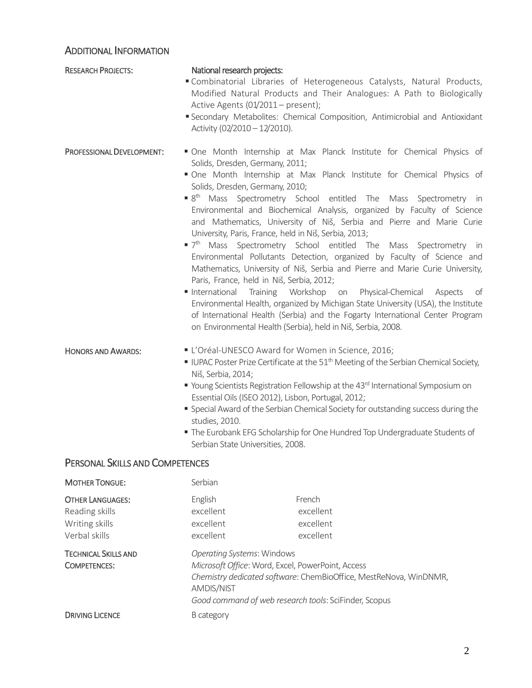#### ADDITIONAL INFORMATION

| <b>RESEARCH PROJECTS:</b>                                                    | National research projects:<br>Active Agents (01/2011 - present);<br>Activity (02/2010 - 12/2010).                                                                                                                                                                                                                                                                                                                                                                                                                                                                                                                                                                                                                                                                                                                                                                                                                                                                                                                                                                                                                         | Combinatorial Libraries of Heterogeneous Catalysts, Natural Products,<br>Modified Natural Products and Their Analogues: A Path to Biologically<br>Secondary Metabolites: Chemical Composition, Antimicrobial and Antioxidant |  |
|------------------------------------------------------------------------------|----------------------------------------------------------------------------------------------------------------------------------------------------------------------------------------------------------------------------------------------------------------------------------------------------------------------------------------------------------------------------------------------------------------------------------------------------------------------------------------------------------------------------------------------------------------------------------------------------------------------------------------------------------------------------------------------------------------------------------------------------------------------------------------------------------------------------------------------------------------------------------------------------------------------------------------------------------------------------------------------------------------------------------------------------------------------------------------------------------------------------|------------------------------------------------------------------------------------------------------------------------------------------------------------------------------------------------------------------------------|--|
| PROFESSIONAL DEVELOPMENT:                                                    | One Month Internship at Max Planck Institute for Chemical Physics of<br>Solids, Dresden, Germany, 2011;<br>One Month Internship at Max Planck Institute for Chemical Physics of<br>Solids, Dresden, Germany, 2010;<br>■ 8 <sup>th</sup> Mass Spectrometry School entitled The Mass Spectrometry in<br>Environmental and Biochemical Analysis, organized by Faculty of Science<br>and Mathematics, University of Niš, Serbia and Pierre and Marie Curie<br>University, Paris, France, held in Niš, Serbia, 2013;<br>" 7 <sup>th</sup> Mass Spectrometry School entitled The Mass Spectrometry in<br>Environmental Pollutants Detection, organized by Faculty of Science and<br>Mathematics, University of Niš, Serbia and Pierre and Marie Curie University,<br>Paris, France, held in Niš, Serbia, 2012;<br>International<br>Training<br>Workshop on Physical-Chemical Aspects<br>of<br>Environmental Health, organized by Michigan State University (USA), the Institute<br>of International Health (Serbia) and the Fogarty International Center Program<br>on Environmental Health (Serbia), held in Niš, Serbia, 2008. |                                                                                                                                                                                                                              |  |
| <b>HONORS AND AWARDS:</b>                                                    | L'Oréal-UNESCO Award for Women in Science, 2016;<br>UPAC Poster Prize Certificate at the $51th$ Meeting of the Serbian Chemical Society,<br>Niš, Serbia, 2014;<br>■ Young Scientists Registration Fellowship at the 43rd International Symposium on<br>Essential Oils (ISEO 2012), Lisbon, Portugal, 2012;<br>• Special Award of the Serbian Chemical Society for outstanding success during the<br>studies, 2010.<br>The Eurobank EFG Scholarship for One Hundred Top Undergraduate Students of<br>Serbian State Universities, 2008.                                                                                                                                                                                                                                                                                                                                                                                                                                                                                                                                                                                      |                                                                                                                                                                                                                              |  |
| <b>PERSONAL SKILLS AND COMPETENCES</b>                                       |                                                                                                                                                                                                                                                                                                                                                                                                                                                                                                                                                                                                                                                                                                                                                                                                                                                                                                                                                                                                                                                                                                                            |                                                                                                                                                                                                                              |  |
| <b>MOTHER TONGUE:</b>                                                        | Serbian                                                                                                                                                                                                                                                                                                                                                                                                                                                                                                                                                                                                                                                                                                                                                                                                                                                                                                                                                                                                                                                                                                                    |                                                                                                                                                                                                                              |  |
| <b>OTHER LANGUAGES:</b><br>Reading skills<br>Writing skills<br>Verbal skills | English<br>excellent<br>excellent<br>excellent                                                                                                                                                                                                                                                                                                                                                                                                                                                                                                                                                                                                                                                                                                                                                                                                                                                                                                                                                                                                                                                                             | French<br>excellent<br>excellent<br>excellent                                                                                                                                                                                |  |
| <b>TECHNICAL SKILLS AND</b><br><b>COMPETENCES:</b>                           | <b>Operating Systems: Windows</b><br>Microsoft Office: Word, Excel, PowerPoint, Access                                                                                                                                                                                                                                                                                                                                                                                                                                                                                                                                                                                                                                                                                                                                                                                                                                                                                                                                                                                                                                     |                                                                                                                                                                                                                              |  |

*Chemistry dedicated software*: ChemBioOffice, MestReNova, WinDNMR,

*Good command ofweb research tools*: SciFinder, Scopus

AMDIS/NIST

**DRIVING LICENCE b** *in B* category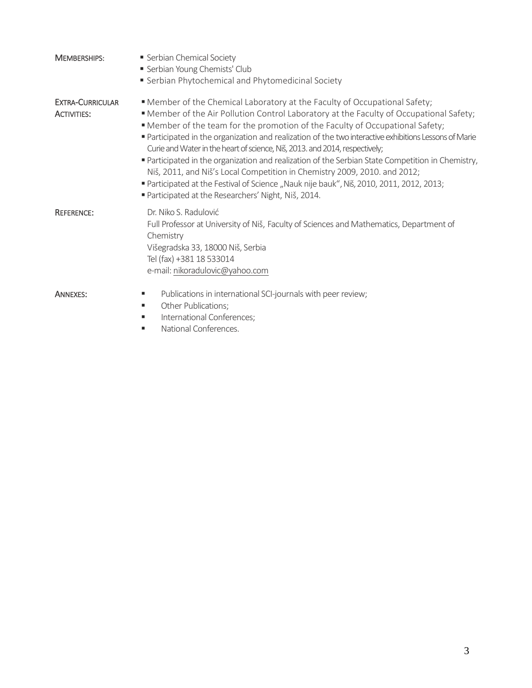| <b>MEMBERSHIPS:</b>                           | Serbian Chemical Society<br>Serbian Young Chemists' Club<br>Serbian Phytochemical and Phytomedicinal Society                                                                                                                                                                                                                                                                                                                                                                                                                                                                                                                                                                                                                                                                      |
|-----------------------------------------------|-----------------------------------------------------------------------------------------------------------------------------------------------------------------------------------------------------------------------------------------------------------------------------------------------------------------------------------------------------------------------------------------------------------------------------------------------------------------------------------------------------------------------------------------------------------------------------------------------------------------------------------------------------------------------------------------------------------------------------------------------------------------------------------|
| <b>EXTRA-CURRICULAR</b><br><b>ACTIVITIES:</b> | " Member of the Chemical Laboratory at the Faculty of Occupational Safety;<br>" Member of the Air Pollution Control Laboratory at the Faculty of Occupational Safety;<br>" Member of the team for the promotion of the Faculty of Occupational Safety;<br>Participated in the organization and realization of the two interactive exhibitions Lessons of Marie<br>Curie and Water in the heart of science, Niš, 2013. and 2014, respectively;<br>" Participated in the organization and realization of the Serbian State Competition in Chemistry,<br>Niš, 2011, and Niš's Local Competition in Chemistry 2009, 2010. and 2012;<br>■ Participated at the Festival of Science "Nauk nije bauk", Niš, 2010, 2011, 2012, 2013;<br>Participated at the Researchers' Night, Niš, 2014. |
| <b>REFERENCE:</b>                             | Dr. Niko S. Radulović<br>Full Professor at University of Niš, Faculty of Sciences and Mathematics, Department of<br>Chemistry<br>Višegradska 33, 18000 Niš, Serbia<br>Tel (fax) +381 18 533014<br>e-mail: nikoradulovic@yahoo.com                                                                                                                                                                                                                                                                                                                                                                                                                                                                                                                                                 |
| <b>ANNEXES:</b>                               | Publications in international SCI-journals with peer review;<br>п<br>Other Publications;<br>ш<br>International Conferences;<br>National Conferences                                                                                                                                                                                                                                                                                                                                                                                                                                                                                                                                                                                                                               |

National Conferences.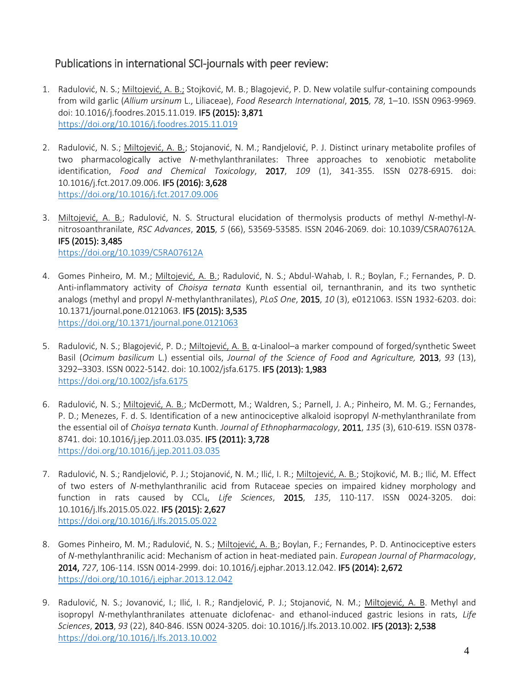# Publications in international SCI-journals with peer review:

- 1. Radulović, N. S.; Miltojević, A. B.; Stojković, M. B.; Blagojević, P. D. New volatile sulfur-containing compounds from wild garlic (*Allium ursinum* L., Liliaceae), *Food Research International*, 2015, *78*, 1–10. ISSN 0963-9969. doi: 10.1016/j.foodres.2015.11.019. IF5 (2015): 3,871 <https://doi.org/10.1016/j.foodres.2015.11.019>
- 2. Radulović, N. S.; Miltojević, A. B.; Stojanović, N. M.; Randjelović, P. J. Distinct urinary metabolite profiles of two pharmacologically active *N*-methylanthranilates: Three approaches to xenobiotic metabolite identification, *Food and Chemical Toxicology*, 2017, *109* (1), 341-355. ISSN 0278-6915. doi: 10.1016/j.fct.2017.09.006. IF5 (2016): 3,628 <https://doi.org/10.1016/j.fct.2017.09.006>
- 3. Miltojević, A. B.; Radulović, N. S. Structural elucidation of thermolysis products of methyl *N*-methyl-*N*nitrosoanthranilate, *RSC Advances*, 2015, *5* (66), 53569-53585. ISSN 2046-2069. doi: 10.1039/C5RA07612A. IF5 (2015): 3,485

<https://doi.org/10.1039/C5RA07612A>

- 4. Gomes Pinheiro, M. M.; Miltojević, A. B.; Radulović, N. S.; Abdul-Wahab, I. R.; Boylan, F.; Fernandes, P. D. Anti-inflammatory activity of *Choisya ternata* Kunth essential oil, ternanthranin, and its two synthetic analogs (methyl and propyl *N*-methylanthranilates), *PLoS One*, 2015, *10* (3), e0121063. ISSN 1932-6203. doi: 10.1371/journal.pone.0121063. IF5 (2015): 3,535 [https://doi.org/10.1371/journal.pone.0121063](https://doi.org/)
- 5. Radulović, N. S.; Blagojević, P. D.; Miltojević, A. B. α-Linalool–a marker compound of forged/synthetic Sweet Basil (*Ocimum basilicum* L.) essential oils, *Journal of the Science of Food and Agriculture,* 2013, *93* (13), 3292–3303. ISSN 0022-5142. doi: 10.1002/jsfa.6175. IF5 (2013): 1,983 <https://doi.org/10.1002/jsfa.6175>
- 6. Radulović, N. S.; Miltojević, A. B.; McDermott, M.; Waldren, S.; Parnell, J. A.; Pinheiro, M. M. G.; Fernandes, P. D.; Menezes, F. d. S. Identification of a new antinociceptive alkaloid isopropyl *N*-methylanthranilate from the essential oil of *Choisya ternata* Kunth. *Journal of Ethnopharmacology*, 2011, *135* (3), 610-619. ISSN 0378- 8741. doi: 10.1016/j.jep.2011.03.035. IF5 (2011): 3,728 <https://doi.org/10.1016/j.jep.2011.03.035>
- 7. Radulović, N. S.; Randjelović, P. J.; Stojanović, N. M.; Ilić, I. R.; Miltojević, A. B.; Stojković, M. B.; Ilić, M. Effect of two esters of *N*-methylanthranilic acid from Rutaceae species on impaired kidney morphology and function in rats caused by CCl4, *Life Sciences*, 2015, *135*, 110-117. ISSN 0024-3205. doi: 10.1016/j.lfs.2015.05.022. IF5 (2015): 2,627 <https://doi.org/10.1016/j.lfs.2015.05.022>
- 8. Gomes Pinheiro, M. M.; Radulović, N. S.; Miltojević, A. B.; Boylan, F.; Fernandes, P. D. Antinociceptive esters of *N*-methylanthranilic acid: Mechanism of action in heat-mediated pain. *European Journal of Pharmacology*, 2014, *727*, 106-114. ISSN 0014-2999. doi: 10.1016/j.ejphar.2013.12.042. IF5 (2014): 2,672 <https://doi.org/10.1016/j.ejphar.2013.12.042>
- 9. Radulović, N. S.; Jovanović, I.; Ilić, I. R.; Randjelović, P. J.; Stojanović, N. M.; Miltojević, A. B. Methyl and isopropyl *N*-methylanthranilates attenuate diclofenac- and ethanol-induced gastric lesions in rats, *Life Sciences*, 2013, *93* (22), 840-846. ISSN 0024-3205. doi: 10.1016/j.lfs.2013.10.002. IF5 (2013): 2,538 <https://doi.org/10.1016/j.lfs.2013.10.002>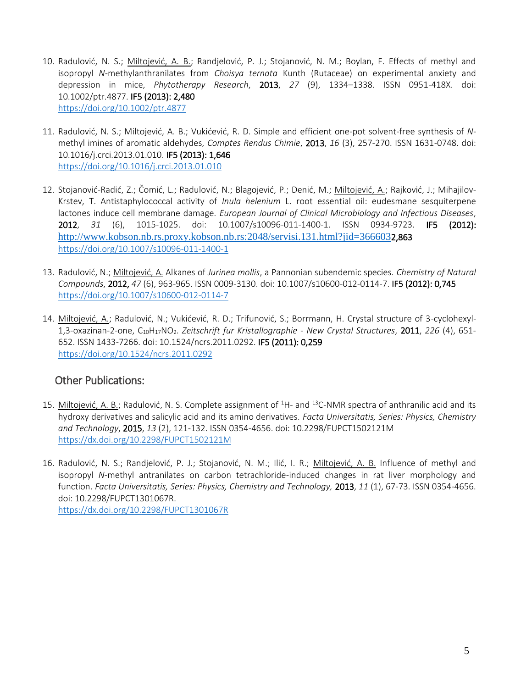- 10. Radulović, N. S.; Miltojević, A. B.; Randjelović, P. J.; Stojanović, N. M.; Boylan, F. Effects of methyl and isopropyl *N*-methylanthranilates from *Choisya ternata* Kunth (Rutaceae) on experimental anxiety and depression in mice, *Phytotherapy Research*, 2013, *27* (9), 1334–1338. ISSN 0951-418X. doi: 10.1002/ptr.4877. IF5 (2013): 2,480 <https://doi.org/10.1002/ptr.4877>
- 11. Radulović, N. S.; Miltojević, A. B.; Vukićević, R. D. Simple and efficient one-pot solvent-free synthesis of *N*methyl imines of aromatic aldehydes, *Comptes Rendus Chimie*, 2013, *16* (3), 257-270. ISSN 1631-0748. doi: 10.1016/j.crci.2013.01.010. IF5 (2013): 1,646 <https://doi.org/10.1016/j.crci.2013.01.010>
- 12. Stojanović-Radić, Z.; Čomić, L.; Radulović, N.; Blagojević, P.; Denić, M.; Miltojević, A.; Rajković, J.; Mihajilov-Krstev, T. Antistaphylococcal activity of *Inula helenium* L. root essential oil: eudesmane sesquiterpene lactones induce cell membrane damage. *European Journal of Clinical Microbiology and Infectious Diseases*, 2012, *31* (6), 1015-1025. doi: 10.1007/s10096-011-1400-1. ISSN 0934-9723. IF5 (2012): <http://www.kobson.nb.rs.proxy.kobson.nb.rs:2048/servisi.131.html?jid=366603>2,863 <https://doi.org/10.1007/s10096-011-1400-1>
- 13. Radulović, N.; Miltojević, A. Alkanes of *Jurinea mollis*, a Pannonian subendemic species. *Chemistry of Natural Compounds*, 2012, *47* (6), 963-965. ISSN 0009-3130. doi: 10.1007/s10600-012-0114-7. IF5 (2012): 0,745 <https://doi.org/10.1007/s10600-012-0114-7>
- 14. Miltojević, A.; Radulović, N.; Vukićević, R. D.; Trifunović, S.; Borrmann, H. Crystal structure of 3-cyclohexyl-1,3-oxazinan-2-one, C10H17NO2. *Zeitschrift fur Kristallographie - New Crystal Structures*, 2011, *226* (4), 651- 652. ISSN 1433-7266. doi: 10.1524/ncrs.2011.0292. IF5 (2011): 0,259 <https://doi.org/10.1524/ncrs.2011.0292>

#### Other Publications:

- 15. Miltojević, A. B.; Radulović, N. S. Complete assignment of  ${}^{1}H$  and  ${}^{13}C$ -NMR spectra of anthranilic acid and its hydroxy derivatives and salicylic acid and its amino derivatives. *Facta Universitatis, Series: Physics, Chemistry and Technology*, 2015, *13* (2), 121-132. ISSN 0354-4656. doi: 10.2298/FUPCT1502121M <https://dx.doi.org/10.2298/FUPCT1502121M>
- 16. Radulović, N. S.; Randjelović, P. J.; Stojanović, N. M.; Ilić, I. R.; Miltojević, A. B. Influence of methyl and isopropyl *N*-methyl antranilates on carbon tetrachloride-induced changes in rat liver morphology and function. *Facta Universitatis, Series: Physics, Chemistry and Technology,* 2013, *11* (1), 67-73. ISSN 0354-4656. doi: 10.2298/FUPCT1301067R.

<https://dx.doi.org/10.2298/FUPCT1301067R>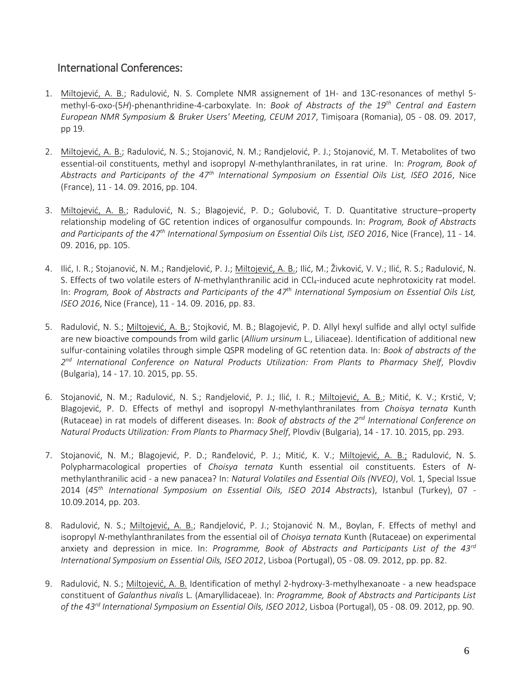## International Conferences:

- 1. Miltojević, A. B.; Radulović, N. S. Complete NMR assignement of 1H- and 13C-resonances of methyl 5 methyl-6-oxo-(5*H*)-phenanthridine-4-carboxylate. In: *Book of Abstracts of the 19th Central and Eastern European NMR Symposium & Bruker Users' Meeting, CEUM 2017*, Timișoara (Romania), 05 - 08. 09. 2017, pp 19.
- 2. Miltojević, A. B.; Radulović, N. S.; Stojanović, N. M.; Randjelović, P. J.; Stojanović, M. T. Metabolites of two essential-oil constituents, methyl and isopropyl *N*-methylanthranilates, in rat urine. In: *Program, Book of Abstracts and Participants of the 47th International Symposium on Essential Oils List, ISEO 2016*, Nice (France), 11 - 14. 09. 2016, pp. 104.
- 3. Miltojević, A. B.; Radulović, N. S.; Blagojević, P. D.; Golubović, T. D. Quantitative structure-property relationship modeling of GC retention indices of organosulfur compounds. In: *Program, Book of Abstracts and Participants of the 47th International Symposium on Essential Oils List, ISEO 2016*, Nice (France), 11 - 14. 09. 2016, pp. 105.
- 4. Ilić, I. R.; Stojanović, N. M.; Randjelović, P. J.; Miltojević, A. B.; Ilić, M.; Živković, V. V.; Ilić, R. S.; Radulović, N. S. Effects of two volatile esters of *N*-methylanthranilic acid in CCl4-induced acute nephrotoxicity rat model. In: *Program, Book of Abstracts and Participants of the 47th International Symposium on Essential Oils List, ISEO 2016*, Nice (France), 11 - 14. 09. 2016, pp. 83.
- 5. Radulović, N. S.; Miltojević, A. B.; Stojković, M. B.; Blagojević, P. D. Allyl hexyl sulfide and allyl octyl sulfide are new bioactive compounds from wild garlic (*Allium ursinum* L., Liliaceae). Identification of additional new sulfur-containing volatiles through simple QSPR modeling of GC retention data. In: *Book of abstracts of the 2 nd International Conference on Natural Products Utilization: From Plants to Pharmacy Shelf*, Plovdiv (Bulgaria), 14 - 17. 10. 2015, pp. 55.
- 6. Stojanović, N. M.; Radulović, N. S.; Randjelović, P. J.; Ilić, I. R.; Miltojević, A. B.; Mitić, K. V.; Krstić, V; Blagojević, P. D. Effects of methyl and isopropyl *N*-methylanthranilates from *Choisya ternata* Kunth (Rutaceae) in rat models of different diseases. In: *Book of abstracts of the 2nd International Conference on Natural Products Utilization: From Plants to Pharmacy Shelf*, Plovdiv (Bulgaria), 14 - 17. 10. 2015, pp. 293.
- 7. Stojanović, N. M.; Blagojević, P. D.; Ranđelović, P. J.; Mitić, K. V.; Miltojević, A. B.; Radulović, N. S. Polypharmacological properties of *Choisya ternata* Kunth essential oil constituents. Esters of *N*methylanthranilic acid - a new panacea? In: *Natural Volatiles and Essential Oils (NVEO)*, Vol. 1, Special Issue 2014 (*45th International Symposium on Essential Oils, ISEO 2014 Abstracts*), Istanbul (Turkey), 07 - 10.09.2014, pp. 203.
- 8. Radulović, N. S.; Miltojević, A. B.; Randjelović, P. J.; Stojanović N. M., Boylan, F. Effects of methyl and isopropyl *N*-methylanthranilates from the essential oil of *Choisya ternata* Kunth (Rutaceae) on experimental anxiety and depression in mice. In: *Programme, Book of Abstracts and Participants List of the 43rd International Symposium on Essential Oils, ISEO 2012*, Lisboa (Portugal), 05 - 08. 09. 2012, pp. pp. 82.
- 9. Radulović, N. S.; Miltojević, A. B. Identification of methyl 2-hydroxy-3-methylhexanoate a new headspace constituent of *Galanthus nivalis* L. (Amaryllidaceae). In: *Programme, Book of Abstracts and Participants List of the 43rd International Symposium on Essential Oils, ISEO 2012*, Lisboa (Portugal), 05 - 08. 09. 2012, pp. 90.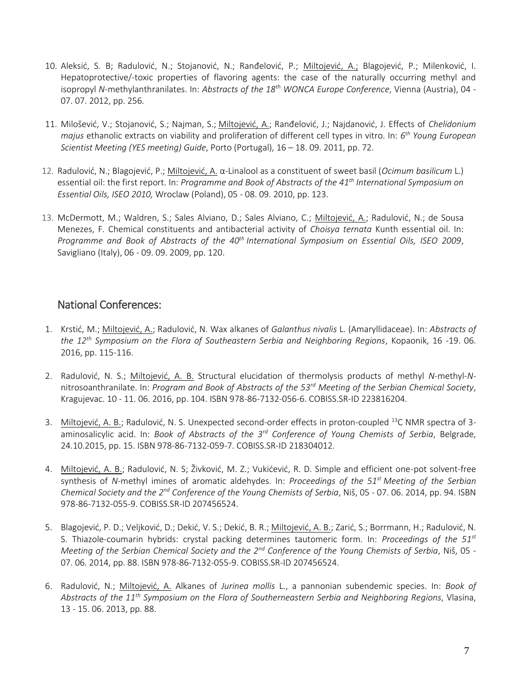- 10. Aleksić, S. B; Radulović, N.; Stojanović, N.; Ranđelović, P.; Miltojević, A.; Blagojević, P.; Milenković, I. Hepatoprotective/-toxic properties of flavoring agents: the case of the naturally occurring methyl and isopropyl *N*-methylanthranilates. In: *Abstracts of the 18th WONCA Europe Conference*, Vienna (Austria), 04 - 07. 07. 2012, pp. 256.
- 11. Milošević, V.; Stojanović, S.; Najman, S.; Miltojević, A.; Ranđelović, J.; Najdanović, J. Effects of *Chelidonium majus* ethanolic extracts on viability and proliferation of different cell types in vitro. In: *6 th Young European Scientist Meeting (YES meeting) Guide*, Porto (Portugal), 16 – 18. 09. 2011, pp. 72.
- 12. Radulović, N.; Blagojević, P.; Miltojević, A. α-Linalool as a constituent of sweet basil (*Ocimum basilicum* L.) essential oil: the first report. In: *Programme and Book of Abstracts of the 41th International Symposium on Essential Oils, ISEO 2010,* Wroclaw (Poland), 05 - 08. 09. 2010, pp. 123.
- 13. McDermott, M.; Waldren, S.; Sales Alviano, D.; Sales Alviano, C.; Miltojević, A.; Radulović, N.; de Sousa Мenezes, F. Chemical constituents and antibacterial activity of *Choisya ternatа* Kunth essential oil. In: *Programme and Book of Abstracts of the 40th International Symposium on Essential Oils, ISEO 2009*, Savigliano (Italy), 06 - 09. 09. 2009, pp. 120.

### National Conferences:

- 1. Krstić, M.; Miltojević, A.; Radulović, N. Wax alkanes of *Galanthus nivalis* L. (Amaryllidaceae). In: *Abstracts of the 12th Symposium on the Flora of Southeastern Serbia and Neighboring Regions*, Kopaonik, 16 -19. 06. 2016, pp. 115-116.
- 2. Radulović, N. S.; Miltojević, A. B. Structural elucidation of thermolysis products of methyl *N*-methyl-*N*nitrosoanthranilate. In: *Program and Book of Abstracts of the 53rd Meeting of the Serbian Chemical Society*, Kragujevac. 10 - 11. 06. 2016, pp. 104. ISBN 978-86-7132-056-6. COBISS.SR-ID 223816204.
- 3. Miltojević, A. B.; Radulović, N. S. Unexpected second-order effects in proton-coupled <sup>13</sup>C NMR spectra of 3aminosalicylic acid. In: *Book of Abstracts of the 3rd Conference of Young Chemists of Serbia*, Belgrade, 24.10.2015, pp. 15. ISBN 978-86-7132-059-7. COBISS.SR-ID 218304012.
- 4. Miltojević, A. B.; Radulović, N. S; Živković, M. Z.; Vukićević, R. D. Simple and efficient one-pot solvent-free synthesis of *N*-methyl imines of aromatic aldehydes. In: *Proceedings of the 51st Meeting of the Serbian Chemical Society and the 2nd Conference of the Young Chemists of Serbia*, Niš, 05 - 07. 06. 2014, pp. 94. ISBN 978-86-7132-055-9. COBISS.SR-ID 207456524.
- 5. Blagojević, P. D.; Veljković, D.; Dekić, V. S.; Dekić, B. R.; Miltojević, A. B.; Zarić, S.; Borrmann, H.; Radulović, N. S. Thiazole-coumarin hybrids: crystal packing determines tautomeric form. In: *Proceedings of the 51st Meeting of the Serbian Chemical Society and the 2nd Conference of the Young Chemists of Serbia*, Niš, 05 - 07. 06. 2014, pp. 88. ISBN 978-86-7132-055-9. COBISS.SR-ID 207456524.
- 6. Radulović, N.; Miltojević, A. Alkanes of *Jurinea mollis* L., a pannonian subendemic species. In: *Book of Abstracts of the 11th Symposium on the Flora of Southerneastern Serbia and Neighboring Regions*, Vlasina, 13 - 15. 06. 2013, pp. 88.